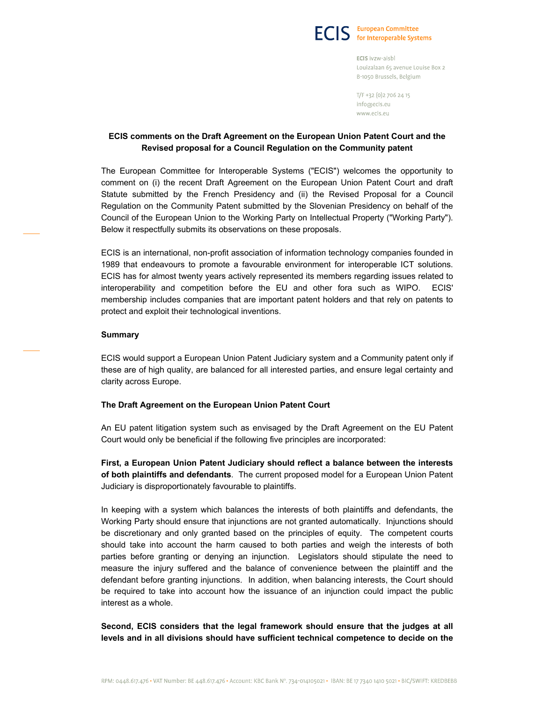

ECIS ivzw-aisbl Louizalaan 65 avenue Louise Box 2 B-1050 Brussels, Belgium

T/F +32 (0) 2 706 24 15 info@ecis.eu www.ecis.eu

# ECIS comments on the Draft Agreement on the European Union Patent Court and the Revised proposal for a Council Regulation on the Community patent

The European Committee for Interoperable Systems ("ECIS") welcomes the opportunity to comment on (i) the recent Draft Agreement on the European Union Patent Court and draft Statute submitted by the French Presidency and (ii) the Revised Proposal for a Council Regulation on the Community Patent submitted by the Slovenian Presidency on behalf of the Council of the European Union to the Working Party on Intellectual Property ("Working Party"). Below it respectfully submits its observations on these proposals.

ECIS is an international, non-profit association of information technology companies founded in 1989 that endeavours to promote a favourable environment for interoperable ICT solutions. ECIS has for almost twenty years actively represented its members regarding issues related to interoperability and competition before the EU and other fora such as WIPO. ECIS' membership includes companies that are important patent holders and that rely on patents to protect and exploit their technological inventions.

#### Summary

ECIS would support a European Union Patent Judiciary system and a Community patent only if these are of high quality, are balanced for all interested parties, and ensure legal certainty and clarity across Europe.

## The Draft Agreement on the European Union Patent Court

An EU patent litigation system such as envisaged by the Draft Agreement on the EU Patent Court would only be beneficial if the following five principles are incorporated:

First, a European Union Patent Judiciary should reflect a balance between the interests of both plaintiffs and defendants. The current proposed model for a European Union Patent Judiciary is disproportionately favourable to plaintiffs.

In keeping with a system which balances the interests of both plaintiffs and defendants, the Working Party should ensure that injunctions are not granted automatically. Injunctions should be discretionary and only granted based on the principles of equity. The competent courts should take into account the harm caused to both parties and weigh the interests of both parties before granting or denying an injunction. Legislators should stipulate the need to measure the injury suffered and the balance of convenience between the plaintiff and the defendant before granting injunctions. In addition, when balancing interests, the Court should be required to take into account how the issuance of an injunction could impact the public interest as a whole.

Second, ECIS considers that the legal framework should ensure that the judges at all levels and in all divisions should have sufficient technical competence to decide on the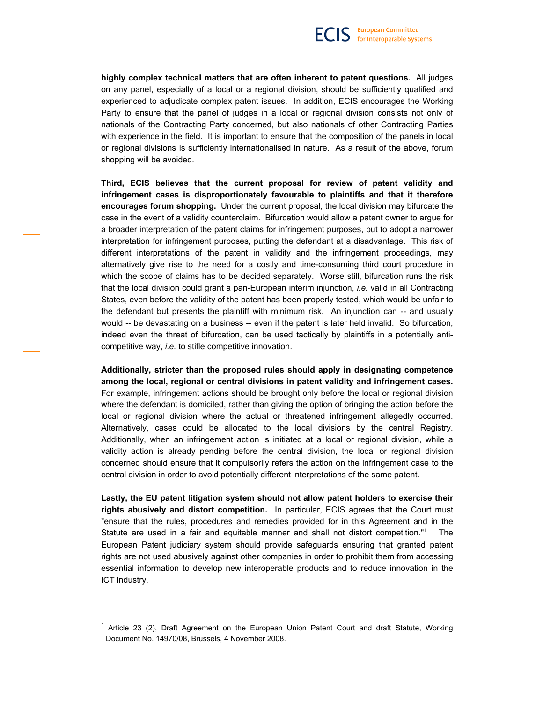highly complex technical matters that are often inherent to patent questions. All judges on any panel, especially of a local or a regional division, should be sufficiently qualified and experienced to adjudicate complex patent issues. In addition, ECIS encourages the Working Party to ensure that the panel of judges in a local or regional division consists not only of nationals of the Contracting Party concerned, but also nationals of other Contracting Parties with experience in the field. It is important to ensure that the composition of the panels in local or regional divisions is sufficiently internationalised in nature. As a result of the above, forum shopping will be avoided.

Third, ECIS believes that the current proposal for review of patent validity and infringement cases is disproportionately favourable to plaintiffs and that it therefore encourages forum shopping. Under the current proposal, the local division may bifurcate the case in the event of a validity counterclaim. Bifurcation would allow a patent owner to argue for a broader interpretation of the patent claims for infringement purposes, but to adopt a narrower interpretation for infringement purposes, putting the defendant at a disadvantage. This risk of different interpretations of the patent in validity and the infringement proceedings, may alternatively give rise to the need for a costly and time-consuming third court procedure in which the scope of claims has to be decided separately. Worse still, bifurcation runs the risk that the local division could grant a pan-European interim injunction, i.e. valid in all Contracting States, even before the validity of the patent has been properly tested, which would be unfair to the defendant but presents the plaintiff with minimum risk. An injunction can -- and usually would -- be devastating on a business -- even if the patent is later held invalid. So bifurcation, indeed even the threat of bifurcation, can be used tactically by plaintiffs in a potentially anticompetitive way, i.e. to stifle competitive innovation.

Additionally, stricter than the proposed rules should apply in designating competence among the local, regional or central divisions in patent validity and infringement cases. For example, infringement actions should be brought only before the local or regional division where the defendant is domiciled, rather than giving the option of bringing the action before the local or regional division where the actual or threatened infringement allegedly occurred. Alternatively, cases could be allocated to the local divisions by the central Registry. Additionally, when an infringement action is initiated at a local or regional division, while a validity action is already pending before the central division, the local or regional division concerned should ensure that it compulsorily refers the action on the infringement case to the central division in order to avoid potentially different interpretations of the same patent.

Lastly, the EU patent litigation system should not allow patent holders to exercise their rights abusively and distort competition. In particular, ECIS agrees that the Court must "ensure that the rules, procedures and remedies provided for in this Agreement and in the Statute are used in a fair and equitable manner and shall not distort competition."<sup>1</sup> The European Patent judiciary system should provide safeguards ensuring that granted patent rights are not used abusively against other companies in order to prohibit them from accessing essential information to develop new interoperable products and to reduce innovation in the ICT industry.

1

<sup>&</sup>lt;sup>1</sup> Article 23 (2), Draft Agreement on the European Union Patent Court and draft Statute, Working Document No. 14970/08, Brussels, 4 November 2008.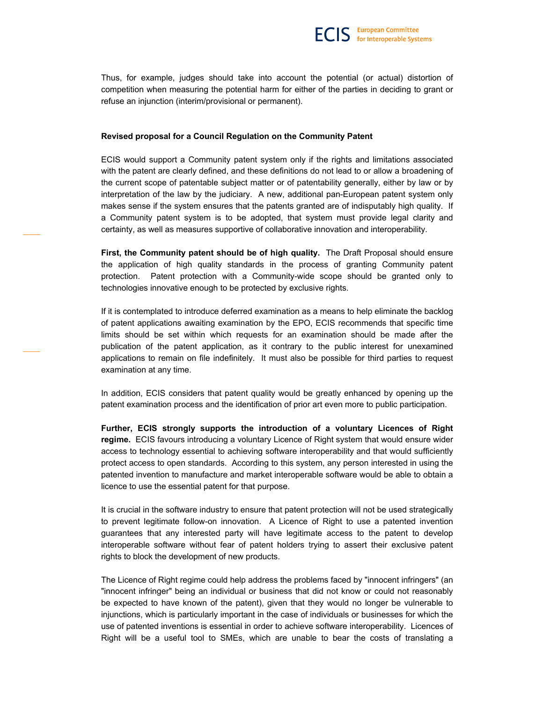Thus, for example, judges should take into account the potential (or actual) distortion of competition when measuring the potential harm for either of the parties in deciding to grant or refuse an injunction (interim/provisional or permanent).

#### Revised proposal for a Council Regulation on the Community Patent

ECIS would support a Community patent system only if the rights and limitations associated with the patent are clearly defined, and these definitions do not lead to or allow a broadening of the current scope of patentable subject matter or of patentability generally, either by law or by interpretation of the law by the judiciary. A new, additional pan-European patent system only makes sense if the system ensures that the patents granted are of indisputably high quality. If a Community patent system is to be adopted, that system must provide legal clarity and certainty, as well as measures supportive of collaborative innovation and interoperability.

First, the Community patent should be of high quality. The Draft Proposal should ensure the application of high quality standards in the process of granting Community patent protection. Patent protection with a Community-wide scope should be granted only to technologies innovative enough to be protected by exclusive rights.

If it is contemplated to introduce deferred examination as a means to help eliminate the backlog of patent applications awaiting examination by the EPO, ECIS recommends that specific time limits should be set within which requests for an examination should be made after the publication of the patent application, as it contrary to the public interest for unexamined applications to remain on file indefinitely. It must also be possible for third parties to request examination at any time.

In addition, ECIS considers that patent quality would be greatly enhanced by opening up the patent examination process and the identification of prior art even more to public participation.

Further, ECIS strongly supports the introduction of a voluntary Licences of Right regime. ECIS favours introducing a voluntary Licence of Right system that would ensure wider access to technology essential to achieving software interoperability and that would sufficiently protect access to open standards. According to this system, any person interested in using the patented invention to manufacture and market interoperable software would be able to obtain a licence to use the essential patent for that purpose.

It is crucial in the software industry to ensure that patent protection will not be used strategically to prevent legitimate follow-on innovation. A Licence of Right to use a patented invention guarantees that any interested party will have legitimate access to the patent to develop interoperable software without fear of patent holders trying to assert their exclusive patent rights to block the development of new products.

The Licence of Right regime could help address the problems faced by "innocent infringers" (an "innocent infringer" being an individual or business that did not know or could not reasonably be expected to have known of the patent), given that they would no longer be vulnerable to injunctions, which is particularly important in the case of individuals or businesses for which the use of patented inventions is essential in order to achieve software interoperability. Licences of Right will be a useful tool to SMEs, which are unable to bear the costs of translating a